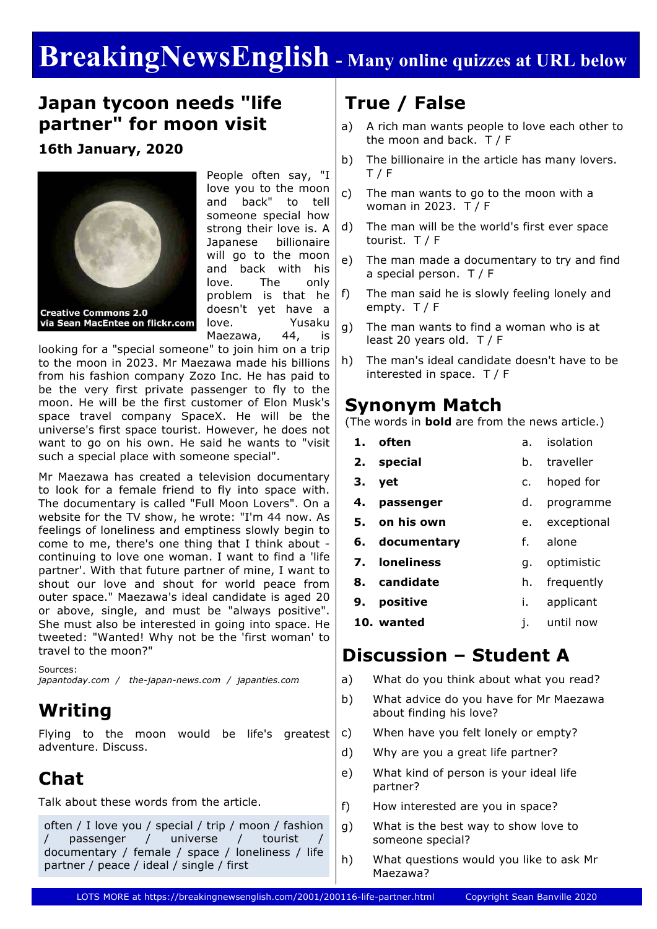# **BreakingNewsEnglish - Many online quizzes at URL below**

### **Japan tycoon needs "life partner" for moon visit**

### **16th January, 2020**



People often say, "I love you to the moon and back" to tell someone special how strong their love is. A Japanese billionaire will go to the moon and back with his love. The only problem is that he doesn't yet have a love. Yusaku Maezawa, 44, is

looking for a "special someone" to join him on a trip to the moon in 2023. Mr Maezawa made his billions from his fashion company Zozo Inc. He has paid to be the very first private passenger to fly to the moon. He will be the first customer of Elon Musk's space travel company SpaceX. He will be the universe's first space tourist. However, he does not want to go on his own. He said he wants to "visit such a special place with someone special".

Mr Maezawa has created a television documentary to look for a female friend to fly into space with. The documentary is called "Full Moon Lovers". On a website for the TV show, he wrote: "I'm 44 now. As feelings of loneliness and emptiness slowly begin to come to me, there's one thing that I think about continuing to love one woman. I want to find a 'life partner'. With that future partner of mine, I want to shout our love and shout for world peace from outer space." Maezawa's ideal candidate is aged 20 or above, single, and must be "always positive". She must also be interested in going into space. He tweeted: "Wanted! Why not be the 'first woman' to travel to the moon?"

Sources: *japantoday.com / the-japan-news.com / japanties.com*

# **Writing**

Flying to the moon would be life's greatest adventure. Discuss.

# **Chat**

Talk about these words from the article.

often / I love you / special / trip / moon / fashion / passenger / universe / tourist / documentary / female / space / loneliness / life partner / peace / ideal / single / first

# **True / False**

- a) A rich man wants people to love each other to the moon and back. T / F
- b) The billionaire in the article has many lovers. T / F
- c) The man wants to go to the moon with a woman in 2023. T / F
- d) The man will be the world's first ever space tourist. T / F
- e) The man made a documentary to try and find a special person. T / F
- f) The man said he is slowly feeling lonely and empty. T / F
- g) The man wants to find a woman who is at least 20 years old. T / F
- h) The man's ideal candidate doesn't have to be interested in space. T / F

### **Synonym Match**

(The words in **bold** are from the news article.)

| 1. | often          | $\mathsf{a}$ . | isolation   |
|----|----------------|----------------|-------------|
|    | 2. special     | b.             | traveller   |
| З. | yet            | $\mathsf{C}$ . | hoped for   |
|    | 4. passenger   | d.             | programme   |
|    | 5. on his own  | е.             | exceptional |
|    | 6. documentary | f.             | alone       |
|    | 7. Ioneliness  | q.             | optimistic  |
| 8. | candidate      | h.             | frequently  |
| 9. | positive       | i. –           | applicant   |
|    | 10. wanted     | i.             | until now   |

### **Discussion – Student A**

- a) What do you think about what you read?
- b) What advice do you have for Mr Maezawa about finding his love?
- c) When have you felt lonely or empty?
- d) Why are you a great life partner?
- e) What kind of person is your ideal life partner?
- f) How interested are you in space?
- g) What is the best way to show love to someone special?
- h) What questions would you like to ask Mr Maezawa?